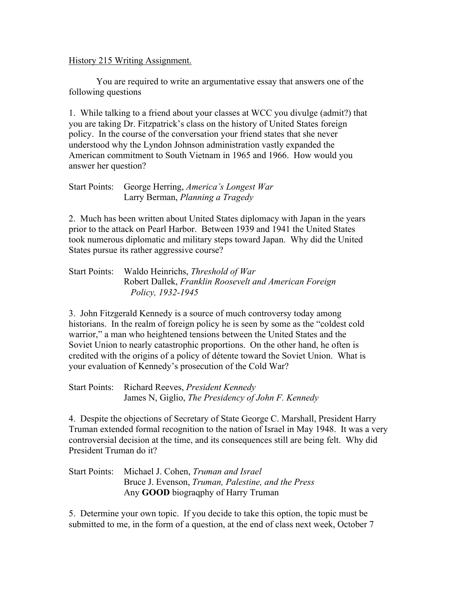## History 215 Writing Assignment.

You are required to write an argumentative essay that answers one of the following questions

1. While talking to a friend about your classes at WCC you divulge (admit?) that you are taking Dr. Fitzpatrick's class on the history of United States foreign policy. In the course of the conversation your friend states that she never understood why the Lyndon Johnson administration vastly expanded the American commitment to South Vietnam in 1965 and 1966. How would you answer her question?

| Start Points: George Herring, America's Longest War |
|-----------------------------------------------------|
| Larry Berman, Planning a Tragedy                    |

2. Much has been written about United States diplomacy with Japan in the years prior to the attack on Pearl Harbor. Between 1939 and 1941 the United States took numerous diplomatic and military steps toward Japan. Why did the United States pursue its rather aggressive course?

## Start Points: Waldo Heinrichs, *Threshold of War* Robert Dallek, *Franklin Roosevelt and American Foreign Policy, 1932-1945*

3. John Fitzgerald Kennedy is a source of much controversy today among historians. In the realm of foreign policy he is seen by some as the "coldest cold warrior," a man who heightened tensions between the United States and the Soviet Union to nearly catastrophic proportions. On the other hand, he often is credited with the origins of a policy of détente toward the Soviet Union. What is your evaluation of Kennedy's prosecution of the Cold War?

Start Points: Richard Reeves, *President Kennedy* James N, Giglio, *The Presidency of John F. Kennedy*

4. Despite the objections of Secretary of State George C. Marshall, President Harry Truman extended formal recognition to the nation of Israel in May 1948. It was a very controversial decision at the time, and its consequences still are being felt. Why did President Truman do it?

Start Points: Michael J. Cohen, *Truman and Israel* Bruce J. Evenson, *Truman, Palestine, and the Press* Any **GOOD** biograqphy of Harry Truman

5. Determine your own topic. If you decide to take this option, the topic must be submitted to me, in the form of a question, at the end of class next week, October 7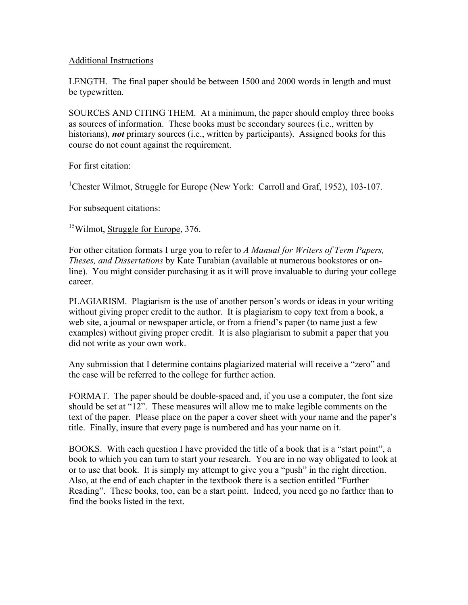## Additional Instructions

LENGTH. The final paper should be between 1500 and 2000 words in length and must be typewritten.

SOURCES AND CITING THEM. At a minimum, the paper should employ three books as sources of information. These books must be secondary sources (i.e., written by historians), *not* primary sources (i.e., written by participants). Assigned books for this course do not count against the requirement.

For first citation:

<sup>1</sup>Chester Wilmot, Struggle for Europe (New York: Carroll and Graf, 1952), 103-107.

For subsequent citations:

<sup>15</sup>Wilmot, Struggle for Europe, 376.

For other citation formats I urge you to refer to *A Manual for Writers of Term Papers, Theses, and Dissertations* by Kate Turabian (available at numerous bookstores or online). You might consider purchasing it as it will prove invaluable to during your college career.

PLAGIARISM. Plagiarism is the use of another person's words or ideas in your writing without giving proper credit to the author. It is plagiarism to copy text from a book, a web site, a journal or newspaper article, or from a friend's paper (to name just a few examples) without giving proper credit. It is also plagiarism to submit a paper that you did not write as your own work.

Any submission that I determine contains plagiarized material will receive a "zero" and the case will be referred to the college for further action.

FORMAT. The paper should be double-spaced and, if you use a computer, the font size should be set at "12". These measures will allow me to make legible comments on the text of the paper. Please place on the paper a cover sheet with your name and the paper's title. Finally, insure that every page is numbered and has your name on it.

BOOKS. With each question I have provided the title of a book that is a "start point", a book to which you can turn to start your research. You are in no way obligated to look at or to use that book. It is simply my attempt to give you a "push" in the right direction. Also, at the end of each chapter in the textbook there is a section entitled "Further Reading". These books, too, can be a start point. Indeed, you need go no farther than to find the books listed in the text.